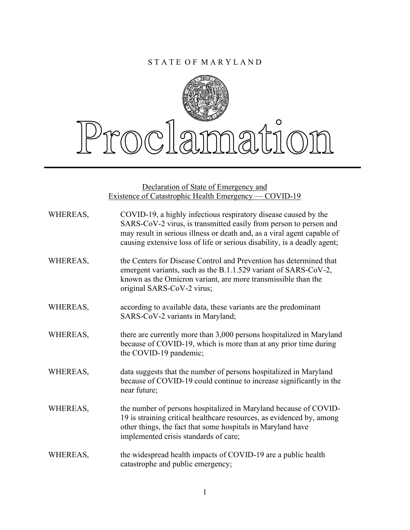## S T A T E O F M A R Y L A N D



Declaration of State of Emergency and Existence of Catastrophic Health Emergency — COVID-19

| WHEREAS, | COVID-19, a highly infectious respiratory disease caused by the<br>SARS-CoV-2 virus, is transmitted easily from person to person and<br>may result in serious illness or death and, as a viral agent capable of<br>causing extensive loss of life or serious disability, is a deadly agent; |
|----------|---------------------------------------------------------------------------------------------------------------------------------------------------------------------------------------------------------------------------------------------------------------------------------------------|
| WHEREAS, | the Centers for Disease Control and Prevention has determined that<br>emergent variants, such as the B.1.1.529 variant of SARS-CoV-2,<br>known as the Omicron variant, are more transmissible than the<br>original SARS-CoV-2 virus;                                                        |
| WHEREAS, | according to available data, these variants are the predominant<br>SARS-CoV-2 variants in Maryland;                                                                                                                                                                                         |
| WHEREAS, | there are currently more than 3,000 persons hospitalized in Maryland<br>because of COVID-19, which is more than at any prior time during<br>the COVID-19 pandemic;                                                                                                                          |
| WHEREAS, | data suggests that the number of persons hospitalized in Maryland<br>because of COVID-19 could continue to increase significantly in the<br>near future;                                                                                                                                    |
| WHEREAS, | the number of persons hospitalized in Maryland because of COVID-<br>19 is straining critical healthcare resources, as evidenced by, among<br>other things, the fact that some hospitals in Maryland have<br>implemented crisis standards of care;                                           |
| WHEREAS, | the widespread health impacts of COVID-19 are a public health<br>catastrophe and public emergency;                                                                                                                                                                                          |